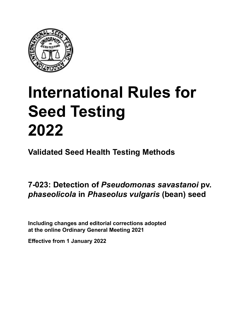

# **International Rules for Seed Testing von Saatgut 2022 2022 Semences 2022 International Rules for Seed Testing 2022**

**Métodos Validados para Análisis de Sanidad de Semillas Validate Méthodes Validées pour Analyse Sanitaire des Semences Validated Seed Health Testing Methods**

**7‑023: Detección de** *Pseudomonas savastanoi* **pv. Nachweis von** *Pseudomonas savastanoi* **pv. 7‑023 : Détection de** *Pseudomonas*  **pv.**  *phaseolicola* **en semillas de** *Phaseolus vulgaris* **(frijol) an Samen von** *Phaseolus vulgaris* **(Bohne) sur semences de** *Phaseolus vulgaris* **(haricot) 7‑023: Detection of** *Pseudomonas savastanoi* **pv.**  *phaseolicola* **in** *Phaseolus vulgaris* **(bean) seed**

Including changes and editorial corrections adopted at the online Ordinary General Meeting 2021

**Effective from 1 January 2022**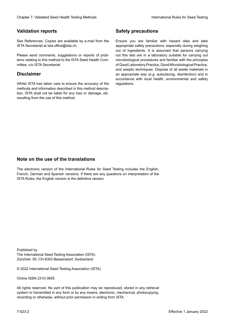#### **Validation reports**

See References. Copies are available by e-mail from the<br>ISTA Secretariat at ista.office@ista.ch. ISTA Secretariat at ista.office@ista.ch.

lems relating to this method to the ISTA Seed Health Com-<br>mittee, c/o ISTA Secretariat. mittee, c/o ISTA Secretariat.<br>i Please send comments, suggestions or reports of prob-

### **Limitation de responsabilité Disclaimer**

Whilst ISTA has taken care to ensure the accuracy of the<br>methods and information described in this method description, ISTA shall not be liable for any loss or damage, etc.<br>resulting from the use of this method.<br>. resulting from the use of this method. Whilst ISTA has taken care to ensure the accuracy of the methods and information described in this method descrip-<br>tion, ISTA shall not be liable for any loss or damage, etc. tion, ISTA shall not be liable for any loss or damage, etc.<br>resulting from the use of this method.

### **Medidas de seguridad Sicherheitsmaßnahmen Sécurité Safety precautions**

Ensure you are familiar with hazard data and take Ensure you are familiar with hazard data and take<br>appropriate safety precautions, especially during weighing out of ingredients. It is assumed that persons carrying out this test are in a laboratory suitable for carrying out microbiological procedures and familiar with the principles of Good Laboratory Practice, Good Microbiological Practice, and aseptic techniques. Dispose of all waste materials in an appropriate way (e.g. autoclaving, disinfection) and in accordance with local health, environmental and safety regulations. Glade 7: Validated Deed Health Testing holesdos<br>
Validation reports<br>
Safety precedure and also recedure to the Same Safety precedure and<br>
Same Constraints and Constraints of the Same Safety precedure and<br>
Same Constraints microbiological procedures and familiar with the principles<br>of Good Laboratory Practice, Good Microbiological Practice,<br>and aseptic techniques. Dispose of all waste materials in<br>an appropriate way (e.g. autoclaving, disinf fallstoffe sind auf geeignete Weise und entsprechend der vor Ort über der vor Ort über und Umwelt- und Umwelt-<br>Eine und Umwelt-Effective Counter of Nicholas Devel Teach Teach Teach Devel Safety precedutions<br>
Validation reports<br>
Safety precedution reports and the symbol state of the sementic of the symbol state of the based delay and share<br>
Propose of Good Laboratory Practice, Good Microbiological Practice,<br>and aseptic techniques. Dispose of all waste materials in<br>an appropriate way (e.g. autoclaving, disinfection) and in Validation reports<br>
Since The Texture 1988 and the system of the Since Theorem and the Since Theorem and the system of the Since The Since The Since The Since The Since The Since The Since The Since The Since The Since The Ensure you are familiar with hazard data and take<br>appropriate safety precautions, especially during weighing<br>out of ingredients. It is assumed that persons carrying<br>out this test are in a laboratory suitable for carrying o

### **Nota sobre el uso de traducciones Anmerkung zur Benutzung der Übersetzungen Note on the use of the translations**

The electronic version of the International Rules for Seed Testing includes the English, French, German and Spanish versions. If there are any questions on interpretation of the ISTA Rules, the English version is the definitive version. The electronic version of the International Rules for Seed Testing includes the English,<br>French, German and Spanish versions. If there are any questions on interpretation of the<br>ISTA Rules, the English version is the defin The electronic version of the International Rules for Seed Testing includes the English,<br>French, German and Spanish versions. If there are any questions on interpretation of the

Published by **Extending Association (ISTA)** The International Seed Testing Association (ISTA) Zürichstr. 50, CH-8303 Bassersdorf, Switzerland

© 2022 International Seed Testing Association (ISTA)

Alle Rechte vorbehalten. Kein Teil dieses Werkes darf in irgendwelcher Form oder durch Online ISSN 2310-3655

All rights reserved. No part of this publication may be reproduced, stored in any retrieval All rights reserved. No part of this publication may be reproduced, stored in any retrieval<br>system or transmitted in any form or by any means, electronic, mechanical, photocopying,<br>recording or otherwise, without prior per recording or otherwise, without prior permis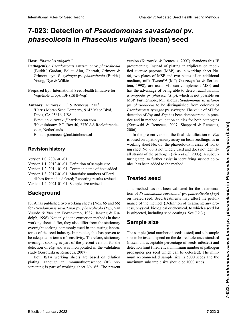# 7-023: Detection of *Pseudomonas savastanoi* pv. *phaseolicola* in *Phaseolus vulgaris* (bean) seed

**Hospedante:** *Phaseolus vulgaris* L. **Wirtspflanze:** *Phaseolus vulgaris* L. **Hôte :** *Phaseolus vulgaris* L. **Host:** *Phaseolus vulgaris* L.

- Pathogen(s): Pseudomonas savastanoi pv. phaseolicola (Burkh.) Gardan, Bollet, Abu, Ghorrah, Grimont & Grimont, syn. *P*. *syringae* pv. *phaseolicola* (Burkh.) Grimont, syn. *P*. *syringae* pv. *phaseolicola* (Burkh.) Young, Dye & Wilkie
- Prepared by: International Seed Health Initiative for Vegetable Crops, ISF (ISHI-Veg) Vegetable Crops, ISF (ISHI-Veg)
- Authors: Kurowski, C.<sup>1</sup> & Remeeus, P.M.<sup>2</sup>  $H_1$ <sub>ris</sub> Moran Seed Company, 9142 Mace Blvd, Da-<sup>1</sup>Harris Moran Seed Company, 9142 Mace Blvd, E-mail: c.kurowski@harrismoran.com 2 E-Mail: c.kurowski@harrismoran.com Courriel : c.kurowski@harrismoran.com E-mail: c.kurowski@harrismoran.com  $\Sigma$ -man: C.Kurowski@narrismoran.com Pinakiumbouw, P. -Naktuinbouw, P.O. Box 40, 2370 AA<br>veen, Netherlands<br>- $W\text{SKI}(\omega)$  harmsmoran.com <sup>2</sup>Naktuinbouw, P.O. Box 40, 2370 AA Roelofarends-Davis, CA 95616, USA E-mail: p.remeeus@naktuinbouw.nl

#### **Historial de revisiones Revisionsstand Historique de la révision Revision history**

 $Version 1.0, 2007-01-01$ 

Version 1.1, 2013-01-01: Definition of sample size Version 1.2, 2014-01-01: Common name of host added Version 1.3, 2017-01-01: Materials: numbers of Petri

dishes for media deleted; Reporting results revised Version 1.4, 2021-01-01: Sample size revised

## Versión 1.4, 2021-01-01: Tamaño de la muestra, revisado Version 1.4, 2021-01-01 : « Taille de l'échantillon » **Background**

**Antecedentes** for *Pseudomonas savastanoi* pv. *phaseolicola* (*Psp*; Van dolph, 1996). Not only do the extraction methods in these working sheets differ, they also differ from the stationary overnight soaking commonly used in the testing laboratories of the seed industry. In practice, this has proven to be adequate in terms of sensitivity. Therefore, stationary<br>examinent assetting is next of the present version for the overnight soaking is part of the present version for the<br>detection of *Psp* and was incorporated in the validation<br>study (Kurowski & Remeeus, 2007). de antique sourcing to pure or the present version for the detection of  $Psp$  and was incorporated in the validation ISTA has published two working sheets (Nos. 65 and 66) Die ISTA hat zwei Methoden (working sheet No. 65 und **Historique** Vuurde & Van den Bovenkamp, 1987; Jansing & Rustudy (Kurowski & Remeeus, 2007).

 $\sum_{i=1}^{\text{SUUU}}$  (Kurowski & Reflictus, 2007). bour is i $\Lambda$  working sheets are based on diffusion plating, although an immunofluorescence (IF) prescreening is part of working sheet No. 65. The present Both ISTA working sheets are based on dilution<br>plating, although an immunofluorescence (IF) pre-<br>screening is part of working sheet No. 65. The present

version (Kurowski & Remeeus, 2007) abandons this IF prescreening. Instead of plating in triplicate on modin<br>fied sucrose peptone (MSP), as in working sheet No. 66, two plates of MSP and two plates of an additional<br>medium, milk Tween<sup>TM</sup> (MT; Goszczynska & Serfon-<br>tein, 1998), are used MT can complement MSP and medium, milk Tween™ (MT; Goszczynska & Serfonrecent Tween Tween (press, 2002), succession of 2000 and tein, 1998), are used. MT can complement MSP, and has the advantage of being able to detect Xanthomonas MSP y tiene la ventaja de poder detectar *Xanthomonas axonopodis* pv. *phaseoli* (*Xap*), which is not possible on axonopodis pv. phaseoli (Xap), which is not possible on<br>MSP. Furthermore, MT allows *Pseudomonas savastanoi* MSP. Además, MT permite distinguir *Pseudomonas* pv. *phaseolicola* to be distinguished from colonies of *savastanoi* pv. *phaseolicola* de colonias de *Pseudomonas seudomonas syringae* pv. *syringae*. The value of MT for detection of *Psp* and *Xap* has been demonstrated in practice and in method validation studies for both pathogens tice and in method validation studies for both pathogens (Kurowski & Remeeus, 2007; Sheppard & Remeeus, 2006). pv. *phaseolicola* von Kolonien von *Pseudomonas syringaePseudomonas syringae* pv. *syringae*. La valeur du MT *Pseudomonas syringae* pv. *syringae*. The value of MT for  $2000$ ). **Hostics** *Phase Company* 1.2 (weight *Cherology the Cherology Cherology (Kurowski & Remetons 2007) absolutes the transference (IF) and weak company (Napple Absolutes) Company (Napple Absolutes) Company (Napple Absolutes)* Dans la version actuelle, l'identification finale de *Psp* International Rules International Rules for Seed Testing Chapter 7: Validated Seed Health Testing Methods<br> **International Report For Seed Testing Chapter 2: Validated Seeding Chapter 2: Validated Seed Health Testing Chapt** 

In the present version, the final identification of *Psp* is based on a pathogenicity assay on bean seedlings, as in working sheet No. 65; the phaseolotoxin assay of working sheet No. 66 is not widely used and does not identify all strains of the pathogen (Rico et al., 2003). A subculturing step, to further assist in identifying suspect colonies, has been added to the method. In the present version, the final identification of  $Psp$ is based on a pathogenicity assay on bean seedlings, as in<br>working sheet No. 65; the phaseolotoxin assay of work-<br>ing sheet No. 66 is not widely used and does not identify In the present version, the final identification of *Psp* working sheet No. 65; the phaseolotoxin assay of work-

## **Semences traitées Treated seed**

tion of Pseudomonas savastanoi pv. phaseolicola (Psp) on treated seed. Seed treatments may affect the performance of the method. (Definition of treatment: any process, physical, biological or chemical, to which a seed lot<br>is subjected, including seed coatings. See 7.2.3.) is subjected, including seed coatings. See 7.2.3.) lote de semilla incluyendo las semillas recubiertas. Ver scher oder chemischer Natur, dem eine Saatgutpartie un-This method has not been validated for the determina-

#### Sample size Sample size

The sample (total number of seeds tested) and subsample<br>size to be tested depend on the desired tolerance standard the detection limit (theoretical minimum number of pathogen propagules per seed which can be detected). The minipropagares per seca winen can be detected). The filmpropaganes per secu which can be detected). The filmin-<br>mum recommended sample size is 5000 seeds and the máximum subsample size should be toob seeds. size to be tested depend on the desired toterance standard<br>(maximum acceptable percentage of seeds infested) and maximum subsample size should der Noorseeds.<br>Theoretische Mindestructure pro Samen, die nachgewiesen pro Samen, die nachgewiesen werden können) ab. Die emp-The sample (total number of seeds tested) and subsample tion (nombre maximum subsample size is 5000 seeds and the maximum subsample size should be 1000 seeds.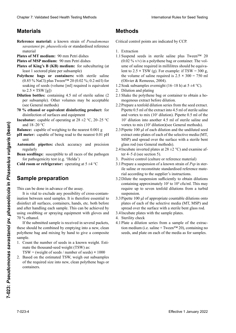## **Materiales Material MatérielMaterials**

- Reference material: a known strain of Pseudomonas savastanoi pv. phaseolicola or standardised reference riel de référence standardisé de référence standardisé de référence standardisé en la concert de référence standardisé en la concert de référence standardisé en la concert de référence standardisé en la concert de la conce
- **Plates of MT medium:** 90 mm Petri dishes
- **Plates of MSP medium:** 90 mm Petri dishes
- Plates of King's B (KB) medium: for subculturing (at least 1 sectored plate per subsample) least 1 sectored plate per subsample)
- **Polythene bags or containers:** with sterile saline (0.85 % NaCl) plus Tween<sup>TM</sup> 20 (0.02 %; 0.2 ml/l) for soaking of seeds (volume [ml] required is equivalent  $\frac{1}{2}$ (0.85 % NaCl) plus Tween™ 20 (0.02 %; 0.2 ml/l) for soaking of seeds (volume [ml] required is equivalent<br>to 2.5 × TSW (g)) [ml] requerido es equivalente a 2,5 **×** PMS [g]) to 2.5 **×** TSW [g])
- **Dilution bottles:** containing 4.5 ml of sterile saline  $(2)$  $\frac{1}{2}$  contrast containing the  $\frac{1}{2}$  por sub-muestral estérite subper subsample). Omer volumes may be accept  $\mu$ ion bottest conditing 1.5 in of sterie same  $(z$ lution sources. Containing 1.5 III or stérile staine (2 per subsample). Other volumes may be acceptable (2 (see General methods)
- **Etanol 70 % u otro producto desinfectante equivalen***the change of equivalent dismitting product.* INCURRECTION OF SUITACES AND Equipment **70-prozentiges Ethanol oder entsprechendes Desinfek***to* change of equivalent undirecting product. for  $\frac{1}{\sqrt{2}}$ générales)<br>Urban **70** % ethanol or equivalent disinfecting product: for disinfection of surfaces and equipment
- ubator:<br>2000 -**Balanza:**  $\frac{18-20}{10}$ **Incubator:** capable of operating at  $28 \pm 2$  °C,  $20-25$  °C and  $18-20$  °C **Ether de maintenir une temperature de maintenir une temperature de maintenir une de maintenir une de maintenir <br>Temperature de maintenir une de maintenir une de maintenir une de maintenir une de maintenir une de maintenir**
- **Balance:** capable of weighing to the nearest 0.001 g **Balance:** capable of weighing to the nearest 0.001 g
- **pH meter:** capable of being read to the nearest 0.01 pH **Pipetas automáticas:** verificar la exactitud y precisión y precisión y precisión y precisión y precisión y precisión y precisión y precisión y precisión y precisión y precisión y precisión y precisión y precisión y precis unit **pH-mètre :** capable de lecture à 0,01 unité de pH unit
- tomatic pip regularly **Automatic pipettes:** check accuracy and precision Automatic pipettes: check accuracy and precision
- Bean seedlings: susceptible to all races of the pathogen for pathogenicity test (e.g. 'Helda')
- **Cold room or refrigerator:** operating at 5  $\pm$ 4 °C

#### **Preparación de la muestra** Sample preparation  $5 + 4$

This can be done in advance of the assay.

This can be done in advance of the assay.<br>It is vital to exclude any possibility of cross-contamination between seed samples. It is therefore essential to<br>disinfect all surfaces, containers, hands, etc. both before disinfect all surfaces, containers, hands, etc. both before and after handling each sample. This can be achieved by<br>using swabbing or spraying equipment with gloves and using swabbing or spraying equipment with gloves and Si la muestra enviada es recibida en varios paquetes, Wenn die Untersuchungsprobe in mehreren Teilpro-70 % ethanol. 70 % ethanol.<br>If the submitted sample is received in several packets, **EFFECT 100** of the nearest 0.001 g and 18-20 properties in the case of the distribution and the undit of selective media (M1 and the nearest 0.001 pll and the phaseology and procedure in the MSD and space of the selectiv

these should be combined by emptying into a new, clean obtener had not mixing by polythene bag and mixing by hand to give a composite<br>comple sample.

pes.<br>Count the number of soods in a known woight. Esti mate the thousand-seed weight (TSW) as: Simple.<br>
Simple.<br>
Simple.<br>
Simple the number of seeds in a known weight. Estimate the thousand-seed weight (TSW) as:<br>
TSW (melangeant) pour obtenur obtenir un échantillon composite. 1. Count the number of seeds in a known weight. Esti-

 $TSW = (weight \space of \space seeds / number \space of \space seeds) \times 1000$ 

2. Based on the estimated TSW, weigh out subsamples of the required size into new, clean polythene bags or  $\alpha$ del también requestion, en angliedo regular de politica nuevas de politica nuevas de politica nuevas de politica nuevas de politica nuevas de politica nuevas de politica nuevas de politica nuevas de politica nuevas de or the required size lino hew 2. Based on the estimated TSW, weigh our subsamples of the required size into new, clean polythene bags or containers.  $\mathbf{S}$  = (masses).

## **Métodos Methoden MéthodesMethods**

Critical control points are indicated by CCP.

- 1. Extraction
- 1.1 Suspend seeds in sterile saline plus Tween<sup>TM</sup> 20<br>(0.02 % v/v) in a polythene bag or container. The volume of saline required in millilitres should be equiva- $(0.02 \% v/v)$  in a polythene bag or container. The volume of saline required in millilitres should be equivalent to 2.5  $\times$  TSW (g). For example: if TSW = 300 g, the volume of saline required is 2.5  $\times$  300 = 750 ml the volume of saline required is  $2.5 \times 300 = 750$  ml (Olivier & Remeeus, 2004). (Olivier & Remeeus, 2004).<br>1.2 Soak subsamples overnight (16–18 h) at  $5 \pm 4$  °C). Clearlos 7. Validated Seed Hewitt Herica control Methods<br>
Methods<br>
Methods<br>
Methods<br>
Methods<br>
However, and control Methods<br>
However, and control Methods<br>
However, and control Methods<br>
However, and control Methods<br>
However Chaos 7 Validaris Searl Health Costing<br>
Methods<br>
Methods Searl Health Costing<br>
Methods Searl Health Costing<br>
Methods Excelsive Chaos and the Chaos and the Chaos and the Chaos and the Chaos and the Chaos and the Chaos and lent to 2.5 × TSW (g). For example: if TSW = 300 g,<br>the volume of saline required is 2.5 × 300 = 750 ml<br>(Olivier & Remeeus 2004)
	-
	- 1.2 Sources substant processes during the contribution and plating
	- 2. Dilution and plating<br>2.1 Shake the polythene bag or container to obtain a ho-2.1 bildhe die polydiene bag et étalement.
	- 2.2 Prepare a tenfold dilution series from the seed extract. repart a tentour untuon series nom the seed extract.<br>Pipette 0.5 ml of the extract into 4.5 ml of sterile saline and vortex to mix  $(10^1 \text{ dilution})$ . Pipette 0.5 ml of the  $\frac{10! \text{ N}}{20}$  and voltex to mix (10 diffusion). Fipette 0.5 mil of the  $10<sup>2</sup>$  diffusion into another 4.5 ml of sterile saline and and vortex to mix  $(10^1$  dilution). Pipette 0.5 ml of sterile same<br>  $10^1$  dilution into another 4.5 ml of sterile saline and<br>
	vortex to mix  $(10^2$  dilution)(see General methods).  $10<sup>1</sup>$  dilution into another 4.5 ml of sterile saline and
	- vortex to mix (10<sup>-</sup> dilution) (see General methods).<br>2.3 Pipette 100 μl of each dilution and the undiluted seed vortex to mix (10<sup>-</sup> dilution)(see General methods).<br>Pipette 100  $\mu$ l of each dilution and the undiluted seed<br>extract onto plates of each of the selective media (MT, extract onto plates of each of the selective media (M1,<br>MSP) and spread over the surface with a sterile bent glass rod (see General methods).
	- 2.4 Incubate inverted plates at  $28 \pm 2$  °C) and examine after  $4-5$  d (see section 5). 2.4 Incubate inverted plates at  $28 \pm 2$  °C) and examine at-<br>ter 4–5 d (see section 5).<br>3. Positive control (culture or reference material)<br>3.1 Prepare a suspension of a known strain of *Psp* in ster-
	- 3. Positive control (culture or reference material)
	- ile saline or reconstitute standardised reference material according to the supplier's instructions.
	- 3.2 Dilute the suspension sufficiently to obtain dilutions containing approximately  $10<sup>2</sup>$  to  $10<sup>4</sup>$  cfu/ml. This may require up to seven tenfold dilutions from a turbid suspension.
	- suspension.<br>3.3 Pipette 100 µl of appropriate countable dilutions onto plates of each of the selective media (MT, MSP) and spread over the surface with a sterile bent glass rod.<br>Incubate plates with the sample plates.<br>Sterility check
	- 3.4 Incubate plates with the sample plates.
	- 4. Sterility check
	- 4.1 Plate a dilution series from a sample of the extraction medium (i.e. saline + Tween<sup>TM 20)</sup> containing no tion medium (i.e. saline + Tween<sup>TM</sup> 20), containing no  $\sum_{\text{seeds}}$  and plate on each of  $\frac{3}{4}$  $\frac{1}{2}$  each of the media as for samples seeds, and plate on each of the media as for samples.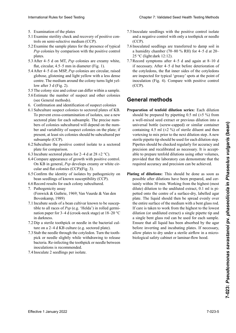- 5. Examination of the plates
- 5. Examination of the plates<br>5.1 Examine sterility check and recovery of positive con-<br>trols on semi-selective medium (CCP). trols on semi-selective medium (CCP). 5.1 Examine sterility check and recovery of positive con-
- 5.2 Examine the sample plates for the presence of typical Psp colonies by comparison with the positive control<br>plates. de colonias típicas de *Psp* mediante comparación comparación comparación comparación comparación comparación com plates.
- 5.3 After 4–5 d on MT, *Psp* colonies are creamy white, flat, circular, 4.5–5 mm in diameter (Fig. 1).<br>5 4 A fter 4–5 d on MSP *Psp* colonies are circular, raised.
- After  $4-5$  d on MSP  $P$ sp colonies are circular raised globose, glistening and light yellow with a less dense entre. The medium around the colony turns light yelcirculares in the color in the color color color color color color color color color color color color color color color color color color color color color color color color color color color color color color color color flat, circular, 4.5–5 mm in diameter (Fig. 1).<br>After 4–5 d on MSP, *Psp* colonies are circular, raised<br>globose glistening and light vellow with a less dense 5.4 After 4–5 d on MSP, *Psp* colonies are circular, raised
- 5.5 The colony size and colour can differ within a sample.
- The colory size and colour can differ within a sample. desimate the name of  $\sigma$ . 5.6 Estimate the number of suspect and other colonies  $\left(\cos C \right)$
- $\frac{1}{2}$  Confirmation and identification of suspect colonies
- de un mation di<br>Certain division  $\overline{5}$ . Estimar el número de colonics to sectored plates of KD. to prevent cross-contamination or isolates, use a new<br>sectored plate for each subsample. The precise numsectored plate for each subsample. The precise numbers of colonies subcultured will depend on the number and variability of suspect colonies on the plate; if ber and variability of suspect colonies on the plate; if<br>present, at least six colonies should be subcultured per subsample (CCP).  $6.1$  Subsection and identification of suspect colonies 6.1 Subculture suspect colonies to sectored plates of KB. sectored plate for each subsample. The precise numbers of colonies subcultured will depend on the num-Subcuriure suspect colonies to sectored plates of KB.<br>To prevent cross-contamination of isolates, use a new sectorea plate bers of colonies subcultured will depend on the numpresent, at least six colonies should be subcultured per subsample (CCP).
- 6.2 Subculture the positive control isolate to a sectored plate for comparison. 6.2 Subculture the positive control isolate to a sectored<br>plate for comparison.<br>6.3 Incubate sectored plates for 2–4 d at  $28 \pm 2$  °C).
- 
- 6.3 Incubate sectored plates for 2–4 d at 28  $\pm$ 2 °C).<br>6.4 Compare appearance of growth with positive control. On KB in general, *Psp* develops creamy or white circular and flat colonies (CCP)(Fig. 3).
- cular and flat colonies (CCP)(Fig. 3).<br>6.5 Confirm the identity of isolates by pathogenicity on bean seedlings of known susceptibility (CCP).
- 6.6 Record results for each colony subcultured.
- 7. Pathogenicity assay (Fenwick & Guthrie, 1969; Van Vuurde & Van den Bovenkamp, 1989)
- 7.1 Incubate seeds of a bean cultivar known to be susceptible to all races of  $P_{SD}$  (e.g. 'Helda') in rolled germitible to all races of *Psp* (e.g. 'Helda') in rolled germination paper for 3–4 d (crook-neck stage) at 18–20 °C in darkness. in darkness.<br>7.2 Dip a sterile toothpick or needle in the bacterial cul-
- ture on a 2–4 d KB culture (e.g. sectored plate).
- 7.3 Stab the needle through the cotyledon. Turn the toothpick or needle slightly while withdrawing to release pron of hoodie sugnary with whitelet and g to referred docternal recording the toomplex of necession section.  $7.4 \text{J}$  and  $4t$ ,  $2 \text{m}$  estérimento de la un cultivo bacteril en un cultivo bactervolverig. Ne infeeling the toomplex of needle between  $K_{\text{B}}$  and  $\Lambda_{\text{B}}$  are all the planet in  $\Lambda_{\text{B}}$ pour or needle ongarry with a wandawing to verdee<br>bactéria. Re-infecting the toothpick or needle between<br>inoculations is recommended.
- $r_{\text{in−2}}$  securings per isolate. 7.4 Inoculate 2 seedlings per isolate.
- 7.5 Inoculate seedlings with the positive control isolate<br>and a negative control with only a toothpick or needle and a negative control with only a toothpick or needle (CCP).  $(CCP)$ .
- 7.6 Inoculated seedlings are transferred to damp soil in a humidity chamber (70–80 % RH) for 4–5 d at 20–<br>25 °C (light:dark 12:12). 25 °C (light:dark 12:12).
- 7.7 Record symptoms after 4–5 d and again at 8–10 d if necessary. After 4–5 d but before deterioration of<br>the cotyledons the flat inner sides of the cotyledons the cotyledons, the flat inner sides of the cotyledons are inspected for typical 'greasy' spots at the point of  $\frac{1}{\pi}$   $\frac{1}{\pi}$   $\frac{1}{\pi}$   $\frac{1}{\pi}$  Compare with positive control  $\alpha$ días, pero antes de que los cotiledones se determines se determines se determines se determines se determines se determines se de  $\left(\frac{\cos\theta}{\cos\theta}\right)$  $(\text{CCF})$ .  $\frac{1}{\sqrt{1-\frac{g^2}{c^2}}}$  inoculation (Fig. 4). Compare with positive control inoculation (Fig. 4). Compare with positive control  $(CCP)$ .  $(0.01)$ . (CCP).

#### en el punto de inoculación (Fig. 4). Comparar con el punto de institución de institución en el comparar con el<br>En el punto de institución de institución de institución de institución de la contradición de la contradición **General methods**

- should be prepared by pipetting  $0.5$  ml ( $\pm 5$  %) from universal bottle (screw-capped) or similar container containing 4.5 ml  $(\pm 2 \%)$  of sterile diluent and then containing 4.5 mi ( $\pm$ 2 %) or sterile dilucht and then vortexing to mix prior to the next dilution step. A new sterile pipette tip should be used for each dilution step. Pipettes should be checked regularly for accuracy and precision and recalibrated as necessary. It is acceptable to prepare tenfold dilutions using other volumes, precision and recalibrated as necessary. It is accept-<br>able to prepare tenfold dilutions using other volumes,<br>provided that the laboratory can demonstrate that the required accuracy and precision can be achieved.<br> aus einem gut gemischten Samenextrakt oder voraus-**Preparation of tenfold dilution series:** Each dilution  $\alpha$  wen-inixed seed extract or previous differentiation into a should be prepared by pipetting 0.5 ml ( $\pm$ 5 %) from<br>a well-mixed seed extract or previous dilution into a<br>universal bottle (screw-capped) or similar container vortexing to mix prior to the next dilution step. A new<br>sterile pipette tip should be used for each dilution step.<br>Pipettes should be checked regularly for accuracy and<br>precision and recalibrated as necessary. It is accept precision and recalibrated as necessary. It is accept-
- Plating of dilutions: This should be done as soon as possible after dilutions have been prepared, and certing of dilutions: This should be done as soon as possible after dilutions have been prepared, and cerpossible after dilutions have been prepared, and certainly within 30 min. Working from the highest (most petted onto the centre of a surface-dry, labelled agar<br>plate. The liquid should then be spread evenly over plate. The liquid should then be spread evenly over the entire surface of the medium with a bent glass rod. If care is taken to work from the highest to the lowest dilution (or undiluted extract) a single pipette tip and a single bent glass rod can be used for each sample. Ensure that all liquid has been absorbed by the agar<br>before inverting and incubating plates. If necessary, before inverting and incubating plates. If necessary, allow plates to dry under a sterile airflow in a microalta (m<sub>ast</sub>arta (más diluita) a la más baja (o extracto sin diluita).<br>Diología de la fatu extracto sin disminer flouv hood se punta se punta de procession punta de pietro de procession de procession de procession de procession de procession de procession de procession de procession de procession de procession de procession de procession de pro dilute) dilution to the undiluted extract, 0.1 ml is pidie gesamte Flüssigkeit von der Agarober-Flüssigkeit von der Agarober-Flüssigkeit von der Agarober-Flüssigkeit<br>Die gesamte biological safety cabinet or laminar-flow hood. dilute) dilution to the undiluted extract, 0.1 ml is pipetted onto the centre of a surface-dry, labelled agar plate. The liquid should then be spread evenly over the entire surface of the medium with a bent glass rod. If c **International Rule To Seed Testing** Chapter 7: Validated Seeding void Local Dealth Testing Nelson<br>
2. Local Dealth Testing Rule To University of The Dealth Testing Rule Dealth Testing Rule (1) and the present of Fermion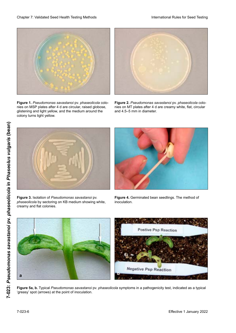

**Figure 1.** *Pseudomonas savastanoi* pv. *phaseolicola* colonies on MSP plates after 4 d are circular, raised globose, glistening and light yellow, and the medium around the colony turns light yellow. The Kolonies devient jaune clair verfails was devient jaune clair. The colonies of



Figure 2. Pseudomonas savastanoi pv. phaseolicola colonies on MT plates after 4 d are creamy white, flat, circular and 4.5–5 mm in diameter.



**Figure 3.** Isolation of *Pseudomonas savastanoi* pv. *phaseolicola* by sectoring on KB medium showing white, creamy and flat colonies.



**Figure 4.** Germinated bean seedlings. The method of inoculation.



**Figure 5a, b.** Typical *Pseudomonas savastanoi* pv. *phaseolicola* symptoms in a pathogenicity test, indicated as a typical<br>'greasy' spot (arrows) at the point of inoculation. 'greasy' spot (arrows) at the point of inoculation.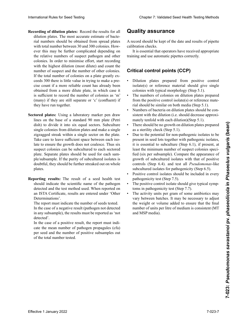- Recording of dilution plates: Record the results for all<br>dilution plates. The most accurate estimate of bactedilution plates. The most accurate estimate of bacterial numbers should be obtained from spread plates rial numbers should be obtained from spread plates<br>with total number between 30 and 300 colonies. However this may be further complicated depending on<br>the relative numbers of suspect pathogen and other the relative numbers of suspect pathogen and other colonies. In order to minimise effort, start recording with the highest dilution (most dilute) and count the<br>number of suspect and the number of other colonies number of suspect and the number of other colonies. number of suspect and the number of other colonies.<br>If the total number of colonies on a plate greatly ex-<br>ceeds 300 there is little value in trying to make a preceeds 300 there is little value in trying to make a preplicial der musical der musical der muy poco valor tratar de réaliser de réaliser de réaliser de réaliser de r<br>cise count if a more reliable count has already been obtained from a more dilute plate, in which case it été de place, in which caso ne socialiste plus diverses diverses diverses diverses diverses diverses diverses diverses as 'm' ficiente con registrar el número de colonias de m (many) if they are still separate or 'c' (confluent) if they have gun togethen. they have run together. with total number between 30 and 300 colonies. How-<br>ever this may be further complicated depending on<br>the relative numbers of suspect pathogen and other (many) if they are still separate or  $\infty$  (confluent) if they have gun to exthen International Rule To Seed Testing Compact From Compact From Compact From Compact From Compact From Compact From Compact From Compact From Compact From Compact From Compact From Compact From Compact From Compact From Comp
- lines on the base of a standard 90 mm plate (Petri  $\frac{d}{dx}$  lines on the base of a standard 90 mm plate (Petri dish) to divide it into six equal sectors. Subculture single colonies from dilution plates and make a single zigzagged streak within a single sector on the plate. zigzagged streak within a single sector on the plate.<br>Take care to leave sufficient space between each isolate to ensure the growth does not coalesce. Thus six suspect colonies can be subcultured to each sectored suspect colonies can be subcultured to each sectored<br>plate. Separate plates should be used for each sample/subsample. If the purity of subcultured isolates is ple/subsample. If the purity of subcultured isolates is<br>doubtful, they should be further streaked out on whole<br>plates.  $\mathbf{p}$ la tes. Si la pureza de los aislamientos subcultivados este aislamientos subcultivados este aislamientos este aislamientos este aislamientos este aislamientos este aislamientos este aislamientos este aislamientos **Sectored plates:** Using a laboratory marker pen draw den Isolaten ineinander wat den Isolaten in een solddoubtful, they should be further streaked out on whole plates.
- Reporting results: The result of a seed health test detected and the test method used. When reported on an ISTA Certificate, results are entered under 'Other Determinations'. Determinations'.<br>The report must indicate the number of seeds tested. should indicate the scientific name of the pathogen

In the case of a negative result (pathogen not detected in any subsample), the results must be reported as 'not<br>detected' detected'.

In the case of a positive result, the report must indicate the mean number of pathogen propagules (cfu) per seed and the number of positive subsamples out positivo de un resultado positivo, el internacionale este el internacionale este el internacionale este el internacionale este el internacionale este el internacionale este el internacionale este el internacionale este el  $\sigma$  and counterfunction propagation depending  $\rho$ ner Teilprobe nachgewiesen) müssen die Ergebnisse als "nicht nachgewiesen" berichtet werden.

## $\mathbf Q$ uality assurance

A record should be kept of the date and results of pipette<br>calibration checks. calibration checks.

It is essential that operators have received appropriate training and use automatic pipettes correctly. automáticas.

#### **Puntos críticos de control (PCC) Critical control points (CCP) Points critiques de contrôle (CCP) Critical control points (CCP)**

- $\frac{1}{2}$  isolate(s) or reference material should give single restate (s) or restrict material should give shighly colonies with typical morphology (Step 5.1). • Dilution plates prepared from positive control
- The numbers of colonies on dilution plates prepared<br>term the negative control isolate  $(a)$  or reference motors render the matrice of the control isolate(s) or reference materiom de positive control isolate (s) of reference material should be similar on both media (Step 5.1).
- Numbers of bacteria on dilution plates should be con-<br>• Numbers of bacteria on dilution plates should be consistent with the dilution (i.e. should decrease approxisistent with the diffution (i.e. should decrease<br>mately tenfold with each dilution)(Step 5.1).
- $\frac{1}{2}$  matery tentom with each diffusion (Step 3.1). debe ser consistente con la diagnosistente con la diagnosistente con la diagnosistente con la diagnosistente di as a sterility check (step  $5.1$ ). mately temold with each diffusion • I here should be no growth on different plates prepared as a sterility check (Step 5.1). • There should be no growth on dilution plates prepared<br>as a sterility check (Step 5.1).
- Due to the potential for non-pathogenic isolates to be • Due to the potential for non-pathogenic isolates to be present in seed lots together with pathogenic isolates, it is essential to subculture (Step 6.1), if present, at present in seed lots together with pathogenic isolates,<br>it is essential to subculture (Step 6.1), if present, at<br>least the minimum number of suspect colonies specified (six per subsample). Compare the appearance of least the minimum number of suspect colonies speci-<br>fied (six per subsample). Compare the appearance of<br>growth of subcultured isolates with that of positive growth of subcultured isolates with that of positive<br>controls (Step 6.4). and test all *Pseudomonas*-like subcultured isolates for pathogenicity (Step 6.5). subcultured isolates for pathogenicity (Step 6.5).<br>Positive control isolates should be included in every
- pathogèneity test (Step 7.5). • Positive control isolates should be included in every pathogenicity test (Step 7.5).
- pathogenicity test (Step 7.5).<br>The positive control isolate should give typical symptoms in pathogenicity test (Step 7.7).
- The activity units per gram of some antibiotics may vary between batches. It may be necessary to adjust the weight or volume added to ensure that the final number of units per litre of medium is consistent (MT and MSP media). tomas típicos en la prueba de patogenicidad (Paso 7.7). Medium konstant zu halten (MT und MSP-Medium).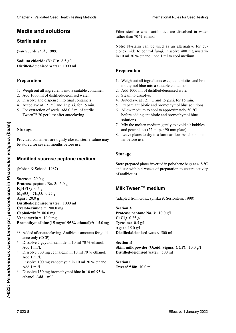## **Medios y soluciones Medien und Lösungen Milieux et solutions Media and solutions**

### **Sterile saline**

(Van Vuurde *et al*., 1989) (van Vuurde *et al.*, 1989) (van Vuurde *et al.*, 1989)

**Sodium chloride (NaCl):** 8.5 g/l **Distilled/deionised water:** 1000 ml

## **Preparación Herstellung Préparation Preparation**

- 1. Weigh out all ingredients into a suitable container.
- 2. Add 1000 ml of distilled/deionised water.
- 2. Zuga 1000 ml of distribution deromiser water.<br>3. Dissolve and dispense into final containers.
- 4. Autoclave at  $121 \degree C$  and  $15 \text{ p.s.}$  i. for  $15 \text{ min.}$
- 5. For extraction of seeds, add 0.2 ml of sterile  $T_{\text{M}}$  calculon of secus, and 0.2 hill of sterilizar por  $T_{\text{M}}$  20 esterilizar por litro de esterior por litro de esterior por litro de esterior por litro de esterior por litro de esterior por litro de esterior por  $1 \text{wcell}$ ru Caud<br>Tu  $\frac{1}{20}$  ween  $\frac{20}{10}$  per nue and autocraving.  $\frac{1}{2}$  stérilisation à la stérite Tween<sup>™</sup> 20 per litre after autoclaving.

#### **Almace Stockage Storage**

in *Phaseolus vulgaris* (bean)

Provided containers are tightly closed, sterile saline may be stored for several months before use. Si des récipients sont bien fermés, la solution saline stérile Provided containers are tightly closed, sterile saline may

#### sterilen Salzlösung für mehrere Monate möglich. **Milieu MSP Modified sucrose peptone medium**

(Mohan & Schaad, 1987)

**Sucrose:** 20.0 g  $K_2$ **HPO<sub>4</sub>:** 0.5 g  $MgSO<sub>4</sub>$  **· 7H<sub>2</sub>O:** 0.25 g **Agar:** 20.0 g **Distilled/deionised water:** 1000 ml **Cycloheximide** <sup>a</sup>: 200.0 mg **Cephalexin b:** 80.0 mg  $\textbf{Vancomycin}$  ::  $10.0 \text{ mg}$ **Cefalexina <sup>b</sup> :** 80,0 mg **Vancomicina <sup>c</sup> :** 10,0 mg Clearlier 2. Validierte Estatist (1981) (1981) (1981) (1982) (1982) (1982) (1982) (1982) (1982) (1982) (1982) (1982) (1982) (1982) (1982) (1982) (1982) (1982) (1982) (1982) (1982) (1982) (1982) (1982) (1982) (1982) (1982) **Rromothymol blue (15 Vancomycin c :** 10,0 mg Cheap 7 Voldskeit Seel Health Teatricia Hotel to the Teatricia River to the School of the Cheap Counter of the Cheap Counter of the Cheap Counter of the Cheap Counter of the Cheap Counter of the Cheap Counter of the Cheap **Proteose peptone No. 3:** 5.0 g Bromothymol blue (15 mg/ml 95 % ethanol)<sup>d</sup>: 15.0 mg Effective 1 January 2022<br> **Example 2022**<br> **Example 2022**<br> **Example 2022**<br> **Example 2022**<br> **Example 2022**<br> **Example 2022**<br> **Example 2022**<br> **Example 2022**<br> **Modified Sucrose peptone medium**<br> **Strange**<br> **Modified Sucrose pep** 

- <sup>a-d</sup> Added after autoclaving. Antibiotic amounts for guid-<br>ance only (CCP). ance only (CCP).
- ance  $\frac{\text{div}\text{curl}}{\text{div}\text{div}}$ .  $\frac{1}{4}$ des de antibióticos sólo como guía (PCC).  $B_{\text{R}}^{\text{R}}$ . Add 1 ml/l. ance  $\frac{\text{arc only}}{\text{cosh}}$ . Dissolve 2 gcycloheximide in 10 ml 70 % ethanol.
- $\Gamma$ itua 1 min.<br>Disolver 200 met control min in 10 ml 70 0/ml con  $P_{1}$ 3301 v c 000 mg c p.  $\Gamma$ ig Cycloheximid in 10 ml 70-prozentigen Ethanol  $\mu_{1,1,1}$  and  $\mu_{2,1}$  must be von  $\mu_{2,1}$  must be von  $\mu_{1,1}$  $b = \frac{100 \text{ m}}{200 \text{ kg}}$ Dissolve 800 mg cephalexin in 10 ml 70 % ethanol. b Add 1 ml/l.
- $D_1 = 1.400$  mg de cefales en 10 ml de eta $D_2 = 1.400$  metalologies en 10 ml de eta $\frac{170.00 \times 1}{1.400}$  $D$   $\overline{D}$   $\overline{D}$   $\overline{D}$   $\overline{D}$   $\overline{D}$   $\overline{D}$   $\overline{D}$   $\overline{D}$   $\overline{D}$   $\overline{D}$   $\overline{D}$   $\overline{D}$   $\overline{D}$   $\overline{D}$   $\overline{D}$   $\overline{D}$   $\overline{D}$   $\overline{D}$   $\overline{D}$   $\overline{D}$   $\overline{D}$   $\overline{D}$   $\overline{D}$   $\overline{D}$   $800$  minut.<br> $800$  cephalexin in 10 ml 70.0/ml 70.0 ml 70.0 ml 70.0 ml 70.0 ml 70.0 ml 70.0 ml 70.0 ml 70.0 ml 70.0 ml 70.0 ml 70.0 ml 70.0 ml 70.0 ml 70.0 ml 70.0 ml 70.0 ml 70.0 ml 70.0 ml 70.0 ml 70.0 ml 70.0 ml 70.0 m  $L$ isson $v_{\rm c}$  foo mg vancomychi in to mi  $100$  mg Vancouver  $100$  m  $\frac{100 \text{ H}}{100}$  mg de van die van die van die van die van die van die van die van die van die van die van die van die van die van die van die van die van die van die van die van die van die van die van die van die van Dissolve 100 mg vancomycin in 10 ml 70 % ethanol.  $A$ dd 1 mg de bleu de bromothymol dans bromothymol dans bromothymol dans bromothymol dans bromothymol dans bromothymol dans bromothymol dans bromothymol dans bromothymol dans bromothymol dans bromothymol dans bromothymol c Add 1 ml/l.
- $\frac{100 \text{ H}}{100 \text{ H}}$  $D$  issolve 150 ling oro. ethanol. Add 1 ml/l.  $L$ issonve 1 50 mg oromothymol blue m Dissolve 150 mg bromothymol blue in 10 ml 95 %. d

Filter sterilise when antibiotics are dissolved in water rather than 70 % ethanol.

Note: Nystatin can be used as an alternative for cycloheximide to control fungi. Dissolve 400 mg nystatin in 10 ml 70 % ethanol; add 1 ml to cool medium.

#### **Preparation** el azul de bromotimol, en un contenedor adecuado. Bromthymolblau in ein geeignetes Gefäß. le bleu de bromothymol dans un récipient approprié.

- 1. Weigh out all ingredients except antibiotics and bromothymol blue into a suitable container.
- 2. Add 1000 ml of distilled/deionised water.
- 1. Pred 1333 in St distinct de bleuse water.<br>3. Steam to dissolve.
- 4. Autoclave at 121 °C and 15 p.s.i. for 15 min.
- 6. Prepare antibiotic and bromothymol blue solutions.<br>6. Allege antibiotic and bromothymol blue solutions.
- $\ddot{\text{d}}$ . Allow medium to cool to approximately 50 °C  $\frac{1000 \text{ m}}{1000 \text{ m}}$ before adding antionolic and bromourymor brue burbus.<br>De alemanismo de aire y verter en placas (22 miliones)  $\mu_{\rm 6}$   $\mu_{\rm 1}$   $\mu_{\rm 1}$   $\mu_{\rm 1}$   $\mu_{\rm 1}$   $\mu_{\rm 1}$ verore adding antionolic and bromourymor brue solutions.<br>Durch den der meiden der Gießen der Gießen der Gießen der Gießen der Gießen der Gießen der Gießen der Gießen  $\frac{1}{2}$  d'antierre de la mondiale de la mondiale de la mondiale de la mondiale de la mondiale de la mondiale de la mondiale de la mondiale de la mondiale de la mondiale de la mondiale de la mondiale de la mondiale de la before adding antibiotic and bromothymol blue d'air et remplir les bonnes.<br>Décembre de 90 million de 90 million de 90 million de 90 million de 90 million de 90 million de 90 million de solutions.
- wix the and pour plates (22 ml per 90 mm plate). Platter in the motion meanum gently to a 7. Mix the molten medium gently to avoid air bubbles
- 8. Leave plates to dry in a laminar flow bench or similar before use.

#### **Almacenaje Lagerung Storage**

Store prepared plates inverted in polythene bags at  $4-8$  °C and use within 4 weeks of preparation to ensure activity of antibiotics. of antibiotics.

### **Milk Tween™ medium**

(adapted from Goszczynska & Serfontein, 1998)

**Sección A Abschnitt A CaCl2 :** 0,25 g/l **Section A Proteose peptone No. 3:** 10.0 g/l  $CaCl<sub>2</sub>: 0.25 g/l$ **Tyrosine:**  $0.\overline{5}$  g/l **Agar:** 15,0 g/l g **Agar:** 15.0 g/l **Distilled/deionised water.** 500 ml **Lait écrémé en poudre (Oxoid, Sigma ;** CCP) : 10,0 g/l

**Bection B Leche en polvo descremada (Oxoid, Sigma; PCC): Feines Milchpulver (Oxoid, Sigma; KKP):** 10,0 g **Skim milk powder (Oxoid, Sigma; CCP):** 10.0 g/l 111 1111114<br>1211 : 317 31 *Aguarda delonisca water***:** 500 ml **Destilliertes/deionisiertes Wasser:** 500 ml **Section C Distilled/deionised water:** 500 ml

**Sección C Tween™ 80:** 10,0 ml **Section C Tween™ 80:** 10,0 ml **Tween™ 80:** 10.0 ml

a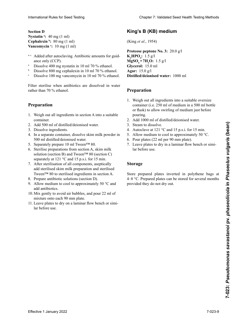**Sección D Abschnitt D Section D Section DNystatin** <sup>a</sup>: 40 mg (1 ml) **Cephalexin b**: 80 mg (1 ml) **Vancomycin** <sup>c</sup>: 10 mg (1 ml)

- a-c Added after autoclaving. Antibiotic amounts for guid-<br>ance only (CCP). ance only  $(CCP)$ .
- a Dissolve 400 mg nystatin in 10 ml 70 % ethanol. a
- b b Dissolve 800 mg cephalexin in 10 ml 70 % ethanol.<br>Dissolve 100 mg vancomycin in 10 ml 70 % ethanol.
- $\overline{\mathrm{Disc}}$  Disolver 100 mg de vancomicina en 10 ml de etanol b  $800$  mg Cephalexin in 10 ml 70 % ethanol Dissolve 100 mg vancomycin in 10 ml 70 % ethanol. c

Filter sterilise when antibiotics are dissolved in water  $E = \frac{1}{2}$ r mer stermet when the

## **Preparation**

- **Preparation**<br>**Preparation**  $\Omega_{\rm c}$  to  $\Omega_{\rm c}$  reactive de la second a energy de la second a energy de la second a energy de la second a energy de la second a energy de la second a energy de la second a energy de la second a energy de la second 1. Weigh out all ingredients in section A into a suitable container.
- 2. Add 500 ml of distilled/deionised water.
- $\overline{2}$ . Dissolve ingredients. 3. Dissolve ingredients.
- 4. In a separate container, dissolve skim milk powder in 500 ml distilled/deionised water.
- 5. Separately prepare 10 ml Tween<sup>TM</sup> 80.
- 6. Sterilise preparations from section A, skim milk solution (section B) and Tween™ 80 (section C) separately at 121 °C and 15 p.s.i. for 15 min.
- 7. After sterilisation of all components, aseptically add sterilised skim milk preparation and sterilised Tween™ 80 to sterilised ingredients in section A.
- 8. Prepare antibiotic solutions (section D).
- 9. Allow medium to cool to approximately 50 °C and add antibiotics.
- 10. Mix gently to avoid air bubbles, and pour 22 ml of mixture onto each 90 mm plate. mixture onto each 90 mm plate.<br>11. Leave plates to dry on a laminar flow bench or simi-
- lar before use.

## **Medio King's B (KB) King**'**s B (KB)-Medium Milieu King**'**s (KB)King's B (KB) medium**

(King *et al*., 1954) *al.*, (King *et al.*, 1954)

Proteose peptone No. 3: 20.0 g/l  $K_2$ **HPO<sub>4</sub>:** 1.5 g/l  $M$ **gSO<sub>4</sub>** $\cdot$  7**H**<sub>2</sub>**O:** 1.5 g/l **Glycerol:** 15.0 ml **Agar:** 15,0 g/l g **Agar :** 15,0 g/l **Agar:** 15.0 g/l **Distilled/deionised water:** 1000 ml International Rules for Seed Testing Chapter 7: Validated Seed Health Testing Schwarz<br>
Section D. The Chapter and Chapter and Chapter and Chapter and Chapter 2: Validated Seed Health Testing Chapter and Chapter and Chapte

## **Preparación Herstellung Préparation Preparation**

- 1. Weigh out all ingredients into a suitable oversize weigh out an ingredients militaries doversized container (i.e. 250 ml of medium in a 500 ml bottle container  $(1.6, 250 \text{ m})$  because the  $\alpha$  such that  $\beta$ of hask) to allow swifting of filed  $2.4111000$  de agua destilada destilada. Follamer (i.e.  $250$  fin of meaning in a  $500$  fin bound of hask) to allow swifting of medium just  $2.411122$ ertemanne von 1000 ml destilligertem distillertem distillée désire des indices de secondistillée.  $\text{constant}$  (i.e. 250 ml of medium in a 500 ml bother or flask) to allow swirling of medium just before pouring.
- $\frac{2.}{3}$  Add 1000 fm of distinct 2. Add 1000 ml of distilled/deionised water.
- $\frac{3.8 \text{ deg}}{2.4 \text{ deg}}$  because the 115 min. 2. Add 1000 m of dissolve.  $3.$  Seam to dissolve.
- 4. Autoclave at  $121^\circ$ C and 15 p.s.1. for 15 min. 4. Autoclave at  $121$  °C and 15 p.s.i. for 15 min. 4. Autoclaver à et 15 p.s.i. pendant 15 min. 4. Autoclave at 121 °C and 15 p.s.i. for 15 min.
- 5. Allow medium to cool to approximately 50 °C.
- 6. Pour plates (22 ml per 90 mm plate).
- 7. Leave plates to dry in a laminar flow bench or similar before use.

### **Storage**

Store prepared plates inverted in polythene bags at  $4-8$  °C. Prepared plates can be stored for several months provided they do not dry out. provided they do not dry out. Store prepared plates inverted in polythene bags at 4–8 °C. Prepared plates can be stored for several months provided they do not dry out.